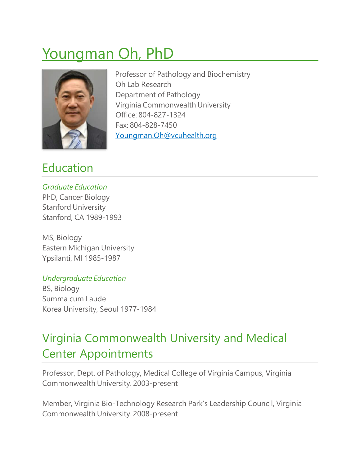# Youngman Oh, PhD



Professor of Pathology and Biochemistry Oh Lab [Research](http://www.pathology.vcu.edu/research/oncogenomics/index.html) Department of Pathology Virginia Commonwealth University Office: 804-827-1324 Fax: 804-828-7450 [Youngman.Oh@vcuhealth.org](mailto:Youngman.Oh@vcuhealth.org)

### Education

*Graduate Education* PhD, Cancer Biology Stanford University Stanford, CA 1989-1993

MS, Biology Eastern Michigan University Ypsilanti, MI 1985-1987

#### *Undergraduate Education*

BS, Biology Summa cum Laude Korea University, Seoul 1977-1984

# Virginia Commonwealth University and Medical Center Appointments

Professor, Dept. of Pathology, Medical College of Virginia Campus, Virginia Commonwealth University. 2003-present

Member, Virginia Bio-Technology Research Park's Leadership Council, Virginia Commonwealth University. 2008-present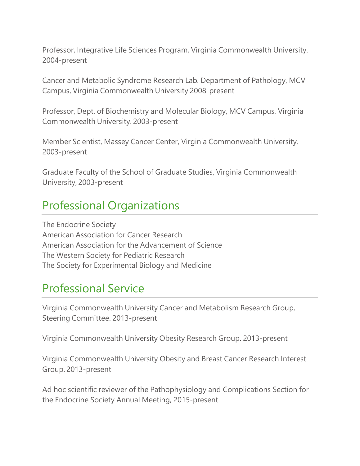Professor, Integrative Life Sciences Program, Virginia Commonwealth University. 2004-present

Cancer and Metabolic Syndrome Research Lab. Department of Pathology, MCV Campus, Virginia Commonwealth University 2008-present

Professor, Dept. of Biochemistry and Molecular Biology, MCV Campus, Virginia Commonwealth University. 2003-present

Member Scientist, Massey Cancer Center, Virginia Commonwealth University. 2003-present

Graduate Faculty of the School of Graduate Studies, Virginia Commonwealth University, 2003-present

### Professional Organizations

The Endocrine Society American Association for Cancer Research American Association for the Advancement of Science The Western Society for Pediatric Research The Society for Experimental Biology and Medicine

### Professional Service

Virginia Commonwealth University Cancer and Metabolism Research Group, Steering Committee. 2013-present

Virginia Commonwealth University Obesity Research Group. 2013-present

Virginia Commonwealth University Obesity and Breast Cancer Research Interest Group. 2013-present

Ad hoc scientific reviewer of the Pathophysiology and Complications Section for the Endocrine Society Annual Meeting, 2015-present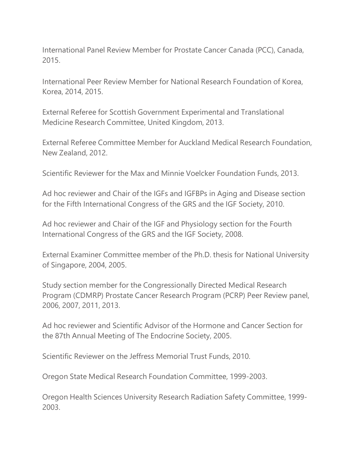International Panel Review Member for Prostate Cancer Canada (PCC), Canada, 2015.

International Peer Review Member for National Research Foundation of Korea, Korea, 2014, 2015.

External Referee for Scottish Government Experimental and Translational Medicine Research Committee, United Kingdom, 2013.

External Referee Committee Member for Auckland Medical Research Foundation, New Zealand, 2012.

Scientific Reviewer for the Max and Minnie Voelcker Foundation Funds, 2013.

Ad hoc reviewer and Chair of the IGFs and IGFBPs in Aging and Disease section for the Fifth International Congress of the GRS and the IGF Society, 2010.

Ad hoc reviewer and Chair of the IGF and Physiology section for the Fourth International Congress of the GRS and the IGF Society, 2008.

External Examiner Committee member of the Ph.D. thesis for National University of Singapore, 2004, 2005.

Study section member for the Congressionally Directed Medical Research Program (CDMRP) Prostate Cancer Research Program (PCRP) Peer Review panel, 2006, 2007, 2011, 2013.

Ad hoc reviewer and Scientific Advisor of the Hormone and Cancer Section for the 87th Annual Meeting of The Endocrine Society, 2005.

Scientific Reviewer on the Jeffress Memorial Trust Funds, 2010.

Oregon State Medical Research Foundation Committee, 1999-2003.

Oregon Health Sciences University Research Radiation Safety Committee, 1999- 2003.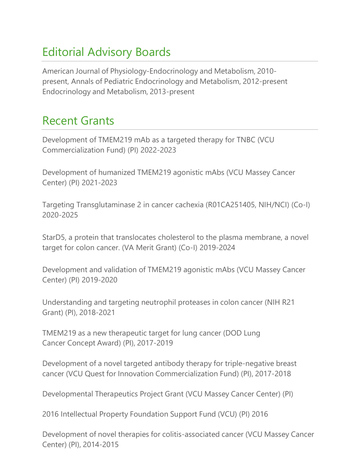# Editorial Advisory Boards

American Journal of Physiology-Endocrinology and Metabolism, 2010 present, Annals of Pediatric Endocrinology and Metabolism, 2012-present Endocrinology and Metabolism, 2013-present

### Recent Grants

Development of TMEM219 mAb as a targeted therapy for TNBC (VCU Commercialization Fund) (PI) 2022-2023

Development of humanized TMEM219 agonistic mAbs (VCU Massey Cancer Center) (PI) 2021-2023

Targeting Transglutaminase 2 in cancer cachexia (R01CA251405, NIH/NCI) (Co-I) 2020-2025

StarD5, a protein that translocates cholesterol to the plasma membrane, a novel target for colon cancer. (VA Merit Grant) (Co-I) 2019-2024

Development and validation of TMEM219 agonistic mAbs (VCU Massey Cancer Center) (PI) 2019-2020

Understanding and targeting neutrophil proteases in colon cancer (NIH R21 Grant) (PI), 2018-2021

TMEM219 as a new therapeutic target for lung cancer (DOD Lung Cancer Concept Award) (PI), 2017-2019

Development of a novel targeted antibody therapy for triple-negative breast cancer (VCU Quest for Innovation Commercialization Fund) (PI), 2017-2018

Developmental Therapeutics Project Grant (VCU Massey Cancer Center) (PI)

2016 Intellectual Property Foundation Support Fund (VCU) (PI) 2016

Development of novel therapies for colitis-associated cancer (VCU Massey Cancer Center) (PI), 2014-2015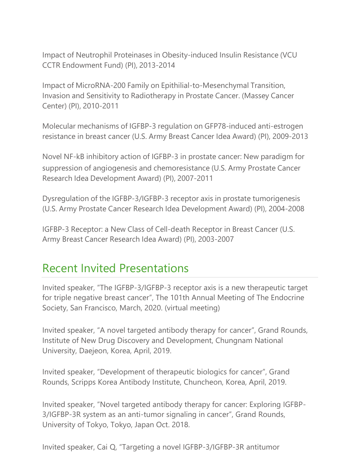Impact of Neutrophil Proteinases in Obesity-induced Insulin Resistance (VCU CCTR Endowment Fund) (PI), 2013-2014

Impact of MicroRNA-200 Family on Epithilial-to-Mesenchymal Transition, Invasion and Sensitivity to Radiotherapy in Prostate Cancer. (Massey Cancer Center) (PI), 2010-2011

Molecular mechanisms of IGFBP-3 regulation on GFP78-induced anti-estrogen resistance in breast cancer (U.S. Army Breast Cancer Idea Award) (PI), 2009-2013

Novel NF-kB inhibitory action of IGFBP-3 in prostate cancer: New paradigm for suppression of angiogenesis and chemoresistance (U.S. Army Prostate Cancer Research Idea Development Award) (PI), 2007-2011

Dysregulation of the IGFBP-3/IGFBP-3 receptor axis in prostate tumorigenesis (U.S. Army Prostate Cancer Research Idea Development Award) (PI), 2004-2008

IGFBP-3 Receptor: a New Class of Cell-death Receptor in Breast Cancer (U.S. Army Breast Cancer Research Idea Award) (PI), 2003-2007

### Recent Invited Presentations

Invited speaker, "The IGFBP-3/IGFBP-3 receptor axis is a new therapeutic target for triple negative breast cancer", The 101th Annual Meeting of The Endocrine Society, San Francisco, March, 2020. (virtual meeting)

Invited speaker, "A novel targeted antibody therapy for cancer", Grand Rounds, Institute of New Drug Discovery and Development, Chungnam National University, Daejeon, Korea, April, 2019.

Invited speaker, "Development of therapeutic biologics for cancer", Grand Rounds, Scripps Korea Antibody Institute, Chuncheon, Korea, April, 2019.

Invited speaker, "Novel targeted antibody therapy for cancer: Exploring IGFBP-3/IGFBP-3R system as an anti-tumor signaling in cancer", Grand Rounds, University of Tokyo, Tokyo, Japan Oct. 2018.

Invited speaker, Cai Q, "Targeting a novel IGFBP-3/IGFBP-3R antitumor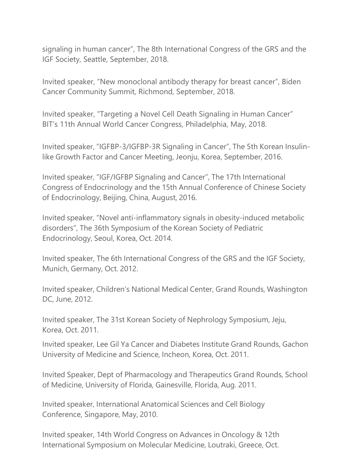signaling in human cancer", The 8th International Congress of the GRS and the IGF Society, Seattle, September, 2018.

Invited speaker, "New monoclonal antibody therapy for breast cancer", Biden Cancer Community Summit, Richmond, September, 2018.

Invited speaker, "Targeting a Novel Cell Death Signaling in Human Cancer" BIT's 11th Annual World Cancer Congress, Philadelphia, May, 2018.

Invited speaker, "IGFBP-3/IGFBP-3R Signaling in Cancer", The 5th Korean Insulinlike Growth Factor and Cancer Meeting, Jeonju, Korea, September, 2016.

Invited speaker, "IGF/IGFBP Signaling and Cancer", The 17th International Congress of Endocrinology and the 15th Annual Conference of Chinese Society of Endocrinology, Beijing, China, August, 2016.

Invited speaker, "Novel anti-inflammatory signals in obesity-induced metabolic disorders", The 36th Symposium of the Korean Society of Pediatric Endocrinology, Seoul, Korea, Oct. 2014.

Invited speaker, The 6th International Congress of the GRS and the IGF Society, Munich, Germany, Oct. 2012.

Invited speaker, Children's National Medical Center, Grand Rounds, Washington DC, June, 2012.

Invited speaker, The 31st Korean Society of Nephrology Symposium, Jeju, Korea, Oct. 2011.

Invited speaker, Lee Gil Ya Cancer and Diabetes Institute Grand Rounds, Gachon University of Medicine and Science, Incheon, Korea, Oct. 2011.

Invited Speaker, Dept of Pharmacology and Therapeutics Grand Rounds, School of Medicine, University of Florida, Gainesville, Florida, Aug. 2011.

Invited speaker, International Anatomical Sciences and Cell Biology Conference, Singapore, May, 2010.

Invited speaker, 14th World Congress on Advances in Oncology & 12th International Symposium on Molecular Medicine, Loutraki, Greece, Oct.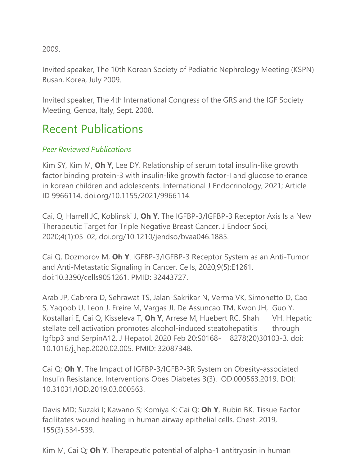2009.

Invited speaker, The 10th Korean Society of Pediatric Nephrology Meeting (KSPN) Busan, Korea, July 2009.

Invited speaker, The 4th International Congress of the GRS and the IGF Society Meeting, Genoa, Italy, Sept. 2008.

### Recent Publications

#### *Peer Reviewed Publications*

Kim SY, Kim M, **Oh Y**, Lee DY. Relationship of serum total insulin-like growth factor binding protein-3 with insulin-like growth factor-I and glucose tolerance in korean children and adolescents. International J Endocrinology, 2021; Article ID 9966114, doi.org/10.1155/2021/9966114.

Cai, Q, Harrell JC, Koblinski J, **Oh Y**. The IGFBP-3/IGFBP-3 Receptor Axis Is a New Therapeutic Target for Triple Negative Breast Cancer. J Endocr Soci, 2020;4(1):05–02, doi.org/10.1210/jendso/bvaa046.1885.

Cai Q, Dozmorov M, **Oh Y**. IGFBP-3/IGFBP-3 Receptor System as an Anti-Tumor and Anti-Metastatic Signaling in Cancer. Cells, 2020;9(5):E1261. doi:10.3390/cells9051261. PMID: 32443727.

Arab JP, Cabrera D, Sehrawat TS, Jalan-Sakrikar N, Verma VK, Simonetto D, Cao S, Yaqoob U, Leon J, Freire M, Vargas JI, De Assuncao TM, Kwon JH, Guo Y, Kostallari E, Cai Q, Kisseleva T, **Oh Y**, Arrese M, Huebert RC, Shah VH. Hepatic stellate cell activation promotes alcohol-induced steatohepatitis through Igfbp3 and SerpinA12. J Hepatol. 2020 Feb 20:S0168- 8278(20)30103-3. doi: 10.1016/j.jhep.2020.02.005. PMID: 32087348.

Cai Q; **Oh Y**. The Impact of IGFBP-3/IGFBP-3R System on Obesity-associated Insulin Resistance. Interventions Obes Diabetes 3(3). IOD.000563.2019. DOI: 10.31031/IOD.2019.03.000563.

Davis MD; Suzaki I; Kawano S; Komiya K; Cai Q; **Oh Y**, Rubin BK. Tissue Factor facilitates wound healing in human airway epithelial cells. Chest. 2019, 155(3):534-539.

Kim M, Cai Q; **Oh Y**. Therapeutic potential of alpha-1 antitrypsin in human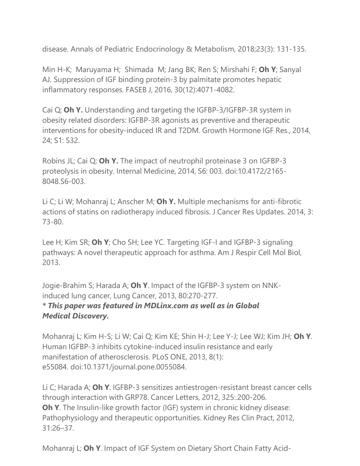disease. Annals of Pediatric Endocrinology & Metabolism, 2018;23(3): 131-135.

Min H-K; Maruyama H; Shimada M; Jang BK; Ren S; Mirshahi F; **Oh Y**; Sanyal AJ. Suppression of IGF binding protein-3 by palmitate promotes hepatic inflammatory responses. FASEB J, 2016, 30(12):4071-4082.

Cai Q; **Oh Y.** Understanding and targeting the IGFBP-3/IGFBP-3R system in obesity related disorders: IGFBP-3R agonists as preventive and therapeutic interventions for obesity-induced IR and T2DM. Growth Hormone IGF Res., 2014, 24; S1: S32.

Robins JL; Cai Q; **Oh Y.** The impact of neutrophil proteinase 3 on IGFBP-3 proteolysis in obesity. Internal Medicine, 2014, S6: 003. doi:10.4172/2165- 8048.S6-003.

Li C; Li W; Mohanraj L; Anscher M; **Oh Y.** Multiple mechanisms for anti-fibrotic actions of statins on radiotherapy induced fibrosis. J Cancer Res Updates. 2014, 3: 73-80.

Lee H; Kim SR; **Oh Y**; Cho SH; Lee YC. Targeting IGF-I and IGFBP-3 signaling pathways: A novel therapeutic approach for asthma. Am J [Respir](http://www-ncbi-nlm-nih-gov.proxy.library.vcu.edu/pubmed/?term=Lee%2BH%2BKim%2BSR%3B%2BOh%2BY) Cell Mol Biol, 2013.

Jogie-Brahim S; Harada A; **Oh Y**. Impact of the IGFBP-3 system on NNKinduced lung cancer, Lung Cancer, 2013, 80:270-277.

#### *\* This paper was featured in MDLinx.com as well as in Global Medical Discovery.*

Mohanraj L; Kim H-S; Li W; Cai Q; Kim KE; Shin H-J; Lee Y-J; Lee WJ; Kim JH; **Oh Y**. Human IGFBP-3 inhibits cytokine-induced insulin resistance and early manifestation of atherosclerosis. PLoS ONE, 2013, 8(1): e55084. doi:10.1371/journal.pone.0055084.

Li C; Harada A; **Oh Y**. IGFBP-3 sensitizes antiestrogen-resistant breast cancer cells through interaction with GRP78. Cancer Letters, 2012, 325:.200-206. **Oh Y**. The Insulin-like growth factor (IGF) system in chronic kidney disease: Pathophysiology and therapeutic opportunities. Kidney Res Clin Pract, 2012, 31:26–37.

Mohanraj L; **Oh Y**. Impact of IGF System on Dietary Short Chain Fatty Acid-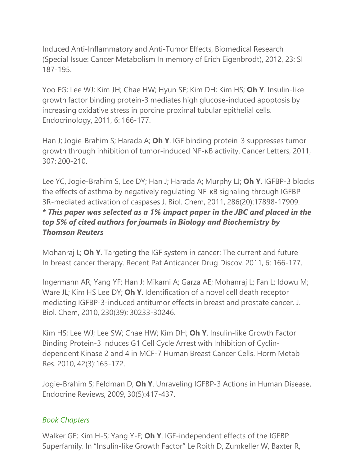Induced Anti-Inflammatory and Anti-Tumor Effects, Biomedical Research (Special Issue: Cancer Metabolism In memory of Erich Eigenbrodt), 2012, 23: SI 187-195.

Yoo EG; Lee WJ; Kim JH; Chae HW; Hyun SE; Kim DH; Kim HS; **Oh Y**. Insulin-like growth factor binding protein-3 mediates high glucose-induced apoptosis by increasing oxidative stress in porcine proximal tubular epithelial cells. Endocrinology, 2011, 6: 166-177.

Han J; Jogie-Brahim S; Harada A; **Oh Y**. IGF binding protein-3 suppresses tumor growth through inhibition of tumor-induced NF-κB activity. Cancer Letters, 2011, 307: 200-210.

Lee YC, Jogie-Brahim S, Lee DY; Han J; Harada A; Murphy LJ; **Oh Y**. IGFBP-3 blocks the effects of asthma by negatively regulating NF-κB signaling through IGFBP-3R-mediated activation of caspases J. Biol. Chem, 2011, 286(20):17898-17909. *\* This paper was selected as a 1% impact paper in the JBC and placed in the top 5% of cited authors for journals in Biology and Biochemistry by Thomson Reuters*

Mohanraj L; **Oh Y**. Targeting the IGF system in cancer: The current and future In breast cancer therapy. Recent Pat Anticancer Drug Discov. 2011, 6: 166-177.

Ingermann AR; Yang YF; Han J; Mikami A; Garza AE; Mohanraj L; Fan L; Idowu M; Ware JL; Kim HS Lee DY; **Oh Y**. Identification of a novel cell death receptor mediating IGFBP-3-induced antitumor effects in breast and prostate cancer. J. Biol. Chem, 2010, 230(39): 30233-30246.

Kim HS; Lee WJ; Lee SW; Chae HW; Kim DH; **Oh Y**. Insulin-like Growth Factor Binding Protein-3 Induces G1 Cell Cycle Arrest with Inhibition of Cyclindependent Kinase 2 and 4 in MCF-7 Human Breast Cancer Cells. Horm Metab Res. 2010, 42(3):165-172.

Jogie-Brahim S; Feldman D; **Oh Y**. Unraveling IGFBP-3 Actions in Human Disease, Endocrine Reviews, 2009, 30(5):417-437.

#### *Book Chapters*

Walker GE; Kim H-S; Yang Y-F; **Oh Y**. IGF-independent effects of the IGFBP Superfamily. In "Insulin-like Growth Factor" Le Roith D, Zumkeller W, Baxter R,